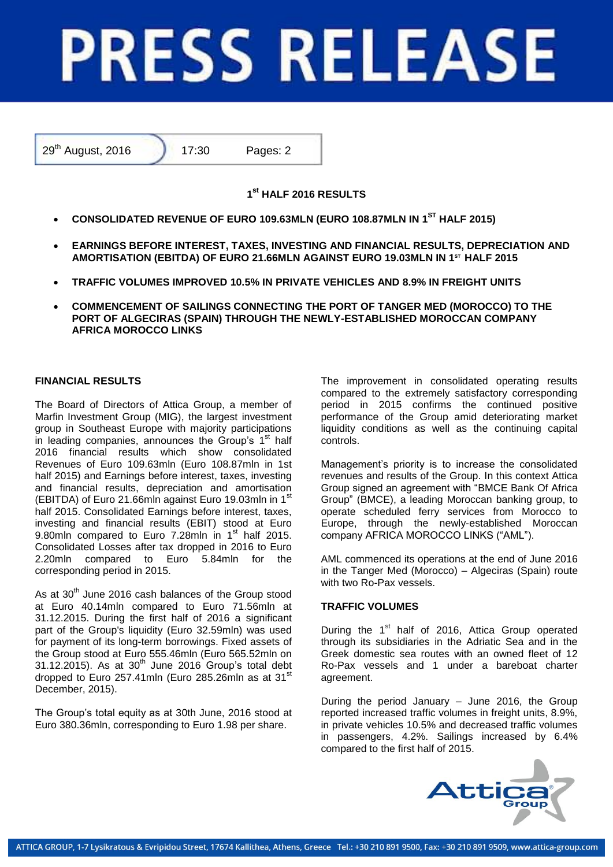# **PRESS RELEASE**



# **1 st HALF 2016 RESULTS**

- **CONSOLIDATED REVENUE OF EURO 109.63MLN (EURO 108.87MLN IN 1ST HALF 2015)**
- **EARNINGS BEFORE INTEREST, TAXES, INVESTING AND FINANCIAL RESULTS, DEPRECIATION AND AMORTISATION (EBITDA) OF EURO 21.66MLN AGAINST EURO 19.03MLN IN 1ST HALF 2015**
- **TRAFFIC VOLUMES IMPROVED 10.5% IN PRIVATE VEHICLES AND 8.9% IN FREIGHT UNITS**
- **COMMENCEMENT OF SAILINGS CONNECTING THE PORT OF TANGER MED (MOROCCO) TO THE PORT OF ALGECIRAS (SPAIN) THROUGH THE NEWLY-ESTABLISHED MOROCCAN COMPANY AFRICA MOROCCO LINKS**

## **FINANCIAL RESULTS**

The Board of Directors of Attica Group, a member of Marfin Investment Group (MIG), the largest investment group in Southeast Europe with majority participations in leading companies, announces the Group's 1<sup>st</sup> half 2016 financial results which show consolidated Revenues of Euro 109.63mln (Euro 108.87mln in 1st half 2015) and Earnings before interest, taxes, investing and financial results, depreciation and amortisation (EBITDA) of Euro 21.66mln against Euro 19.03mln in 1<sup>st</sup> half 2015. Consolidated Earnings before interest, taxes, investing and financial results (EBIT) stood at Euro 9.80mln compared to Euro 7.28mln in 1<sup>st</sup> half 2015. Consolidated Losses after tax dropped in 2016 to Euro 2.20mln compared to Euro 5.84mln for the corresponding period in 2015.

As at 30<sup>th</sup> June 2016 cash balances of the Group stood at Euro 40.14mln compared to Euro 71.56mln at 31.12.2015. During the first half of 2016 a significant part of the Group's liquidity (Euro 32.59mln) was used for payment of its long-term borrowings. Fixed assets of the Group stood at Euro 555.46mln (Euro 565.52mln on  $31.12.2015$ ). As at  $30<sup>th</sup>$  June 2016 Group's total debt dropped to Euro 257.41mln (Euro 285.26mln as at 31 $\mathrm{^{st}}$ December, 2015).

The Group's total equity as at 30th June, 2016 stood at Euro 380.36mln, corresponding to Euro 1.98 per share.

The improvement in consolidated operating results compared to the extremely satisfactory corresponding period in 2015 confirms the continued positive performance of the Group amid deteriorating market liquidity conditions as well as the continuing capital controls.

Management's priority is to increase the consolidated revenues and results of the Group. In this context Attica Group signed an agreement with "BMCE Bank Of Africa Group" (BMCE), a leading Moroccan banking group, to operate scheduled ferry services from Morocco to Europe, through the newly-established Moroccan company AFRICA MOROCCO LINKS ("AML").

AML commenced its operations at the end of June 2016 in the Tanger Med (Morocco) – Algeciras (Spain) route with two Ro-Pax vessels.

### **TRAFFIC VOLUMES**

During the 1<sup>st</sup> half of 2016, Attica Group operated through its subsidiaries in the Adriatic Sea and in the Greek domestic sea routes with an owned fleet of 12 Ro-Pax vessels and 1 under a bareboat charter agreement.

During the period January – June 2016, the Group reported increased traffic volumes in freight units, 8.9%, in private vehicles 10.5% and decreased traffic volumes in passengers, 4.2%. Sailings increased by 6.4% compared to the first half of 2015.